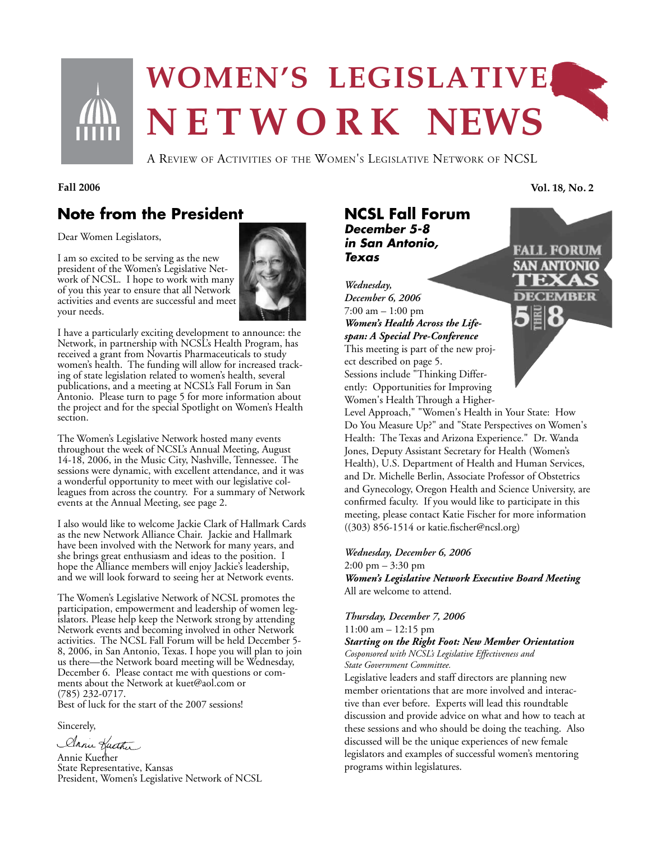

# Women's legislative NETWORK NEWS

A Review of Activities of the Women's Legislative Network of NCSL

Fall 2006 Vol. 18, No. 2

## **Note from the President**

Dear Women Legislators,

I am so excited to be serving as the new president of the Women's Legislative Network of NCSL. I hope to work with many of you this year to ensure that all Network activities and events are successful and meet your needs.



I have a particularly exciting development to announce: the Network, in partnership with NCSL's Health Program, has received a grant from Novartis Pharmaceuticals to study women's health. The funding will allow for increased track- ing of state legislation related to women's health, several publications, and a meeting at NCSL's Fall Forum in San Antonio. Please turn to page 5 for more information about the project and for the special Spotlight on Women's Health section.

The Women's Legislative Network hosted many events throughout the week of NCSL's Annual Meeting, August 14-18, 2006, in the Music City, Nashville, Tennessee. The sessions were dynamic, with excellent attendance, and it was a wonderful opportunity to meet with our legislative col- leagues from across the country. For a summary of Network events at the Annual Meeting, see page 2.

I also would like to welcome Jackie Clark of Hallmark Cards as the new Network Alliance Chair. Jackie and Hallmark have been involved with the Network for many years, and she brings great enthusiasm and ideas to the position. I hope the Alliance members will enjoy Jackie's leadership, and we will look forward to seeing her at Network events.

The Women's Legislative Network of NCSL promotes the participation, empowerment and leadership of women legislators. Please help keep the Network strong by attending Network events and becoming involved in other Network activities. The NCSL Fall Forum will be held December 5- 8, 2006, in San Antonio, Texas. I hope you will plan to join us there—the Network board meeting will be Wednesday, December 6. Please contact me with questions or com- ments about the Network at kuet@aol.com or (785) 232-0717.

Best of luck for the start of the 2007 sessions!

Sincerely,

Annie Kuether

State Representative, Kansas President, Women's Legislative Network of NCSL

**NCSL Fall Forum** *December 5-8 in San Antonio, Texas*

*Wednesday, December 6, 2006* 7:00 am – 1:00 pm *Women's Health Across the Lifespan: A Special Pre-Conference*

This meeting is part of the new project described on page 5. Sessions include "Thinking Differently: Opportunities for Improving Women's Health Through a Higher-



Level Approach," "Women's Health in Your State: How Do You Measure Up?" and "State Perspectives on Women's Health: The Texas and Arizona Experience." Dr. Wanda Jones, Deputy Assistant Secretary for Health (Women's Health), U.S. Department of Health and Human Services, and Dr. Michelle Berlin, Associate Professor of Obstetrics and Gynecology, Oregon Health and Science University, are confirmed faculty. If you would like to participate in this meeting, please contact Katie Fischer for more information  $((303) 856-1514$  or katie.fischer@ncsl.org)

#### *Wednesday, December 6, 2006*

2:00 pm – 3:30 pm *Women's Legislative Network Executive Board Meeting* All are welcome to attend.

#### *Thursday, December 7, 2006* 11:00 am – 12:15 pm

*Starting on the Right Foot: New Member Orientation Cosponsored with NCSL's Legislative Effectiveness and State Government Committee.*

Legislative leaders and staff directors are planning new member orientations that are more involved and interactive than ever before. Experts will lead this roundtable discussion and provide advice on what and how to teach at these sessions and who should be doing the teaching. Also discussed will be the unique experiences of new female legislators and examples of successful women's mentoring programs within legislatures.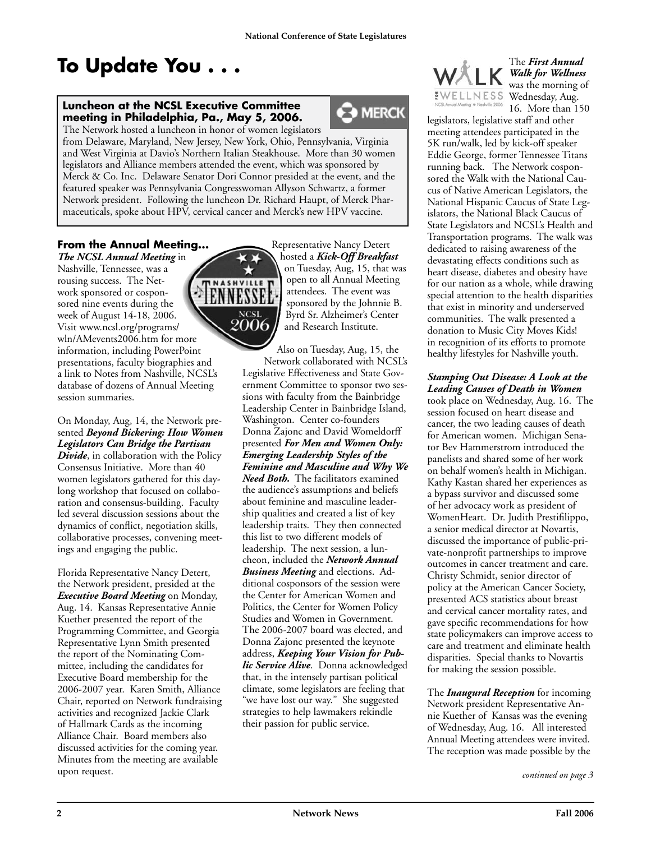$\widehat{\bullet}$  MERCK

# **To Update You . . .**

#### **Luncheon at the NCSL Executive Committee meeting in Philadelphia, Pa., May 5, 2006.**

The Network hosted a luncheon in honor of women legislators from Delaware, Maryland, New Jersey, New York, Ohio, Pennsylvania, Virginia and West Virginia at Davio's Northern Italian Steakhouse. More than 30 women legislators and Alliance members attended the event, which was sponsored by Merck & Co. Inc. Delaware Senator Dori Connor presided at the event, and the featured speaker was Pennsylvania Congresswoman Allyson Schwartz, a former Network president. Following the luncheon Dr. Richard Haupt, of Merck Phar-

maceuticals, spoke about HPV, cervical cancer and Merck's new HPV vaccine.

### **From the Annual Meeting...**

*The NCSL Annual Meeting* in Nashville, Tennessee, was a rousing success. The Network sponsored or cosponsored nine events during the week of August 14-18, 2006. Visit www.ncsl.org/programs/ wln/AMevents2006.htm for more information, including PowerPoint presentations, faculty biographies and a link to Notes from Nashville, NCSL's database of dozens of Annual Meeting session summaries.

#### On Monday, Aug, 14, the Network presented *Beyond Bickering: How Women Legislators Can Bridge the Partisan*

*Divide*, in collaboration with the Policy Consensus Initiative. More than 40 women legislators gathered for this daylong workshop that focused on collaboration and consensus-building. Faculty led several discussion sessions about the dynamics of conflict, negotiation skills, collaborative processes, convening meetings and engaging the public.

Florida Representative Nancy Detert, the Network president, presided at the *Executive Board Meeting* on Monday, Aug. 14. Kansas Representative Annie Kuether presented the report of the Programming Committee, and Georgia Representative Lynn Smith presented the report of the Nominating Committee, including the candidates for Executive Board membership for the 2006-2007 year. Karen Smith, Alliance Chair, reported on Network fundraising activities and recognized Jackie Clark of Hallmark Cards as the incoming Alliance Chair. Board members also discussed activities for the coming year. Minutes from the meeting are available upon request.



Representative Nancy Detert hosted a *Kick-Off Breakfast*  on Tuesday, Aug, 15, that was open to all Annual Meeting attendees. The event was sponsored by the Johnnie B. Byrd Sr. Alzheimer's Center and Research Institute.

Also on Tuesday, Aug, 15, the Network collaborated with NCSL's Legislative Effectiveness and State Government Committee to sponsor two sessions with faculty from the Bainbridge Leadership Center in Bainbridge Island, Washington. Center co-founders Donna Zajonc and David Womeldorff presented *For Men and Women Only: Emerging Leadership Styles of the Feminine and Masculine and Why We Need Both.* The facilitators examined the audience's assumptions and beliefs about feminine and masculine leadership qualities and created a list of key leadership traits. They then connected this list to two different models of leadership. The next session, a luncheon, included the *Network Annual Business Meeting* and elections. Additional cosponsors of the session were the Center for American Women and Politics, the Center for Women Policy Studies and Women in Government. The 2006-2007 board was elected, and Donna Zajonc presented the keynote address, *Keeping Your Vision for Public Service Alive*. Donna acknowledged that, in the intensely partisan political climate, some legislators are feeling that "we have lost our way." She suggested strategies to help lawmakers rekindle their passion for public service.



The *First Annual Walk for Wellness*  was the morning of 16. More than 150

legislators, legislative staff and other meeting attendees participated in the 5K run/walk, led by kick-off speaker Eddie George, former Tennessee Titans running back. The Network cosponsored the Walk with the National Caucus of Native American Legislators, the National Hispanic Caucus of State Legislators, the National Black Caucus of State Legislators and NCSL's Health and Transportation programs. The walk was dedicated to raising awareness of the devastating effects conditions such as heart disease, diabetes and obesity have for our nation as a whole, while drawing special attention to the health disparities that exist in minority and underserved communities. The walk presented a donation to Music City Moves Kids! in recognition of its efforts to promote healthy lifestyles for Nashville youth.

#### *Stamping Out Disease: A Look at the Leading Causes of Death in Women*

took place on Wednesday, Aug. 16. The session focused on heart disease and cancer, the two leading causes of death for American women. Michigan Senator Bev Hammerstrom introduced the panelists and shared some of her work on behalf women's health in Michigan. Kathy Kastan shared her experiences as a bypass survivor and discussed some of her advocacy work as president of WomenHeart. Dr. Judith Prestifilippo, a senior medical director at Novartis, discussed the importance of public-private-nonprofit partnerships to improve outcomes in cancer treatment and care. Christy Schmidt, senior director of policy at the American Cancer Society, presented ACS statistics about breast and cervical cancer mortality rates, and gave specific recommendations for how state policymakers can improve access to care and treatment and eliminate health disparities. Special thanks to Novartis for making the session possible.

The *Inaugural Reception* for incoming Network president Representative Annie Kuether of Kansas was the evening of Wednesday, Aug. 16. All interested Annual Meeting attendees were invited. The reception was made possible by the

*continued on page 3*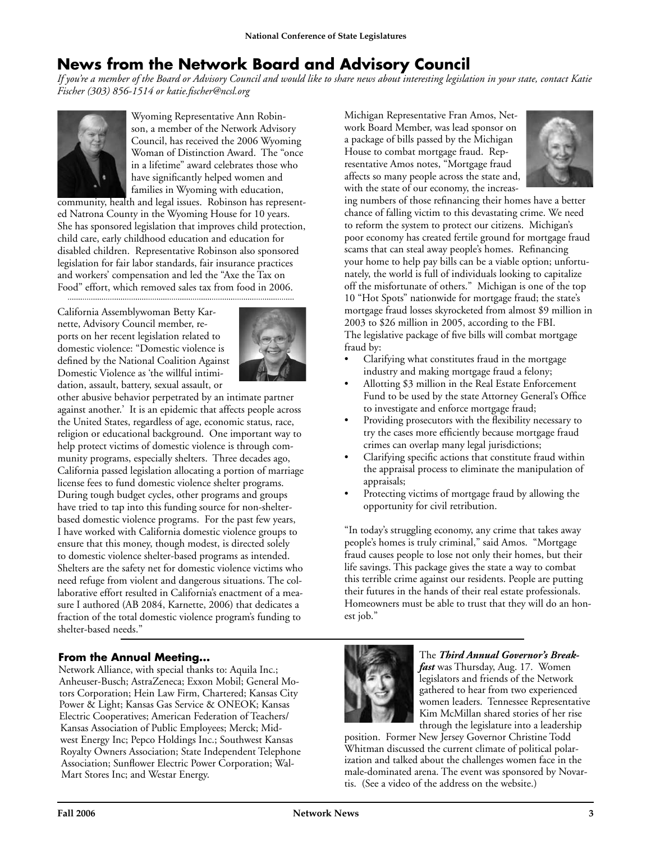# **News from the Network Board and Advisory Council**

*If you're a member of the Board or Advisory Council and would like to share news about interesting legislation in your state, contact Katie Fischer (303) 856-1514 or katie.fischer@ncsl.org*



Wyoming Representative Ann Robinson, a member of the Network Advisory Council, has received the 2006 Wyoming Woman of Distinction Award. The "once in a lifetime" award celebrates those who have significantly helped women and families in Wyoming with education,

community, health and legal issues. Robinson has represented Natrona County in the Wyoming House for 10 years. She has sponsored legislation that improves child protection, child care, early childhood education and education for disabled children. Representative Robinson also sponsored legislation for fair labor standards, fair insurance practices and workers' compensation and led the "Axe the Tax on Food" effort, which removed sales tax from food in 2006.

California Assemblywoman Betty Karnette, Advisory Council member, reports on her recent legislation related to domestic violence: "Domestic violence is defined by the National Coalition Against Domestic Violence as 'the willful intimidation, assault, battery, sexual assault, or



other abusive behavior perpetrated by an intimate partner against another.' It is an epidemic that affects people across the United States, regardless of age, economic status, race, religion or educational background. One important way to help protect victims of domestic violence is through community programs, especially shelters. Three decades ago, California passed legislation allocating a portion of marriage license fees to fund domestic violence shelter programs. During tough budget cycles, other programs and groups have tried to tap into this funding source for non-shelterbased domestic violence programs. For the past few years, I have worked with California domestic violence groups to ensure that this money, though modest, is directed solely to domestic violence shelter-based programs as intended. Shelters are the safety net for domestic violence victims who need refuge from violent and dangerous situations. The collaborative effort resulted in California's enactment of a measure I authored (AB 2084, Karnette, 2006) that dedicates a fraction of the total domestic violence program's funding to shelter-based needs."

### **From the Annual Meeting...**

Network Alliance, with special thanks to: Aquila Inc.; Anheuser-Busch; AstraZeneca; Exxon Mobil; General Motors Corporation; Hein Law Firm, Chartered; Kansas City Power & Light; Kansas Gas Service & ONEOK; Kansas Electric Cooperatives; American Federation of Teachers/ Kansas Association of Public Employees; Merck; Midwest Energy Inc; Pepco Holdings Inc.; Southwest Kansas Royalty Owners Association; State Independent Telephone Association; Sunflower Electric Power Corporation; Wal-Mart Stores Inc; and Westar Energy.

Michigan Representative Fran Amos, Network Board Member, was lead sponsor on a package of bills passed by the Michigan House to combat mortgage fraud. Representative Amos notes, "Mortgage fraud affects so many people across the state and, with the state of our economy, the increas-



ing numbers of those refinancing their homes have a better chance of falling victim to this devastating crime. We need to reform the system to protect our citizens. Michigan's poor economy has created fertile ground for mortgage fraud scams that can steal away people's homes. Refinancing your home to help pay bills can be a viable option; unfortunately, the world is full of individuals looking to capitalize off the misfortunate of others." Michigan is one of the top 10 "Hot Spots" nationwide for mortgage fraud; the state's mortgage fraud losses skyrocketed from almost \$9 million in 2003 to \$26 million in 2005, according to the FBI. The legislative package of five bills will combat mortgage fraud by:

- Clarifying what constitutes fraud in the mortgage industry and making mortgage fraud a felony;
- Allotting \$3 million in the Real Estate Enforcement Fund to be used by the state Attorney General's Office to investigate and enforce mortgage fraud;
- Providing prosecutors with the flexibility necessary to try the cases more efficiently because mortgage fraud crimes can overlap many legal jurisdictions;
- Clarifying specific actions that constitute fraud within the appraisal process to eliminate the manipulation of appraisals;
- Protecting victims of mortgage fraud by allowing the opportunity for civil retribution.

"In today's struggling economy, any crime that takes away people's homes is truly criminal," said Amos. "Mortgage fraud causes people to lose not only their homes, but their life savings. This package gives the state a way to combat this terrible crime against our residents. People are putting their futures in the hands of their real estate professionals. Homeowners must be able to trust that they will do an honest job."



The *Third Annual Governor's Breakfast* was Thursday, Aug. 17. Women legislators and friends of the Network gathered to hear from two experienced women leaders. Tennessee Representative Kim McMillan shared stories of her rise through the legislature into a leadership

position. Former New Jersey Governor Christine Todd Whitman discussed the current climate of political polarization and talked about the challenges women face in the male-dominated arena. The event was sponsored by Novartis. (See a video of the address on the website.)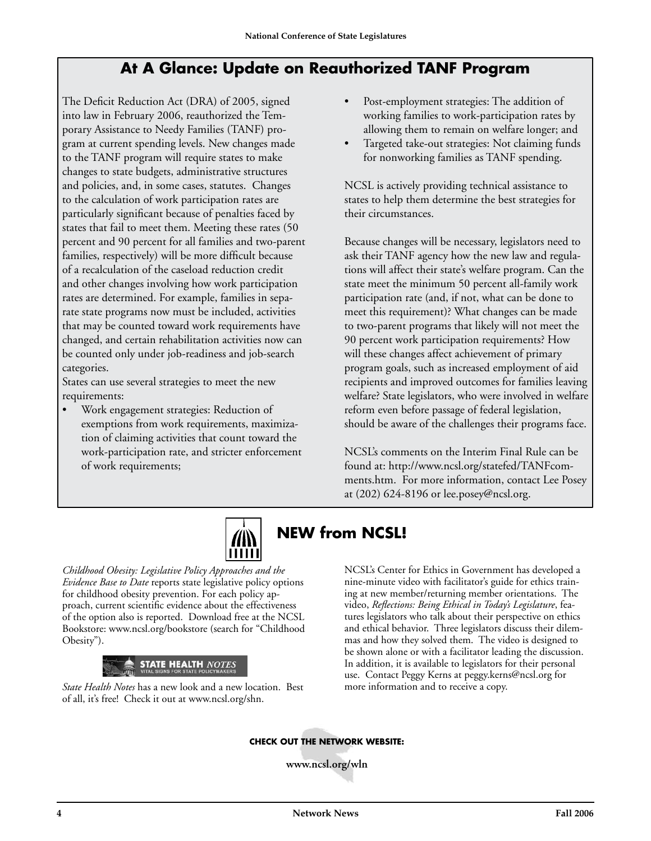## **At A Glance: Update on Reauthorized TANF Program**

The Deficit Reduction Act (DRA) of 2005, signed into law in February 2006, reauthorized the Temporary Assistance to Needy Families (TANF) program at current spending levels. New changes made to the TANF program will require states to make changes to state budgets, administrative structures and policies, and, in some cases, statutes. Changes to the calculation of work participation rates are particularly significant because of penalties faced by states that fail to meet them. Meeting these rates (50 percent and 90 percent for all families and two-parent families, respectively) will be more difficult because of a recalculation of the caseload reduction credit and other changes involving how work participation rates are determined. For example, families in separate state programs now must be included, activities that may be counted toward work requirements have changed, and certain rehabilitation activities now can be counted only under job-readiness and job-search categories.

States can use several strategies to meet the new requirements:

• Work engagement strategies: Reduction of exemptions from work requirements, maximization of claiming activities that count toward the work-participation rate, and stricter enforcement of work requirements;

- Post-employment strategies: The addition of working families to work-participation rates by allowing them to remain on welfare longer; and
- Targeted take-out strategies: Not claiming funds for nonworking families as TANF spending.

NCSL is actively providing technical assistance to states to help them determine the best strategies for their circumstances.

Because changes will be necessary, legislators need to ask their TANF agency how the new law and regulations will affect their state's welfare program. Can the state meet the minimum 50 percent all-family work participation rate (and, if not, what can be done to meet this requirement)? What changes can be made to two-parent programs that likely will not meet the 90 percent work participation requirements? How will these changes affect achievement of primary program goals, such as increased employment of aid recipients and improved outcomes for families leaving welfare? State legislators, who were involved in welfare reform even before passage of federal legislation, should be aware of the challenges their programs face.

NCSL's comments on the Interim Final Rule can be found at: http://www.ncsl.org/statefed/TANFcomments.htm. For more information, contact Lee Posey at (202) 624-8196 or lee.posey@ncsl.org.



## **NEW from NCSL!**

*Childhood Obesity: Legislative Policy Approaches and the Evidence Base to Date* reports state legislative policy options for childhood obesity prevention. For each policy approach, current scientific evidence about the effectiveness of the option also is reported. Download free at the NCSL Bookstore: www.ncsl.org/bookstore (search for "Childhood Obesity").

## **STATE HEALTH NOTES**

*State Health Notes* has a new look and a new location. Best of all, it's free! Check it out at www.ncsl.org/shn.

NCSL's Center for Ethics in Government has developed a nine-minute video with facilitator's guide for ethics training at new member/returning member orientations. The video, *Reflections: Being Ethical in Today's Legislature*, features legislators who talk about their perspective on ethics and ethical behavior. Three legislators discuss their dilemmas and how they solved them. The video is designed to be shown alone or with a facilitator leading the discussion. In addition, it is available to legislators for their personal use. Contact Peggy Kerns at peggy.kerns@ncsl.org for more information and to receive a copy.

#### **CHECK OUT THE NETWORK WEBSITE:**

**www.ncsl.org/wln**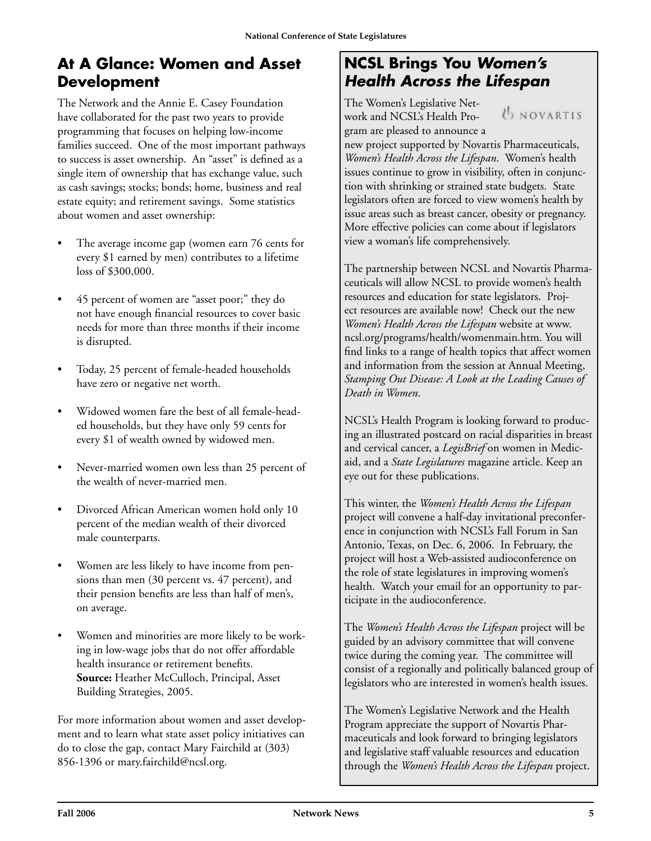## **At A Glance: Women and Asset Development**

The Network and the Annie E. Casey Foundation have collaborated for the past two years to provide programming that focuses on helping low-income families succeed. One of the most important pathways to success is asset ownership. An "asset" is defined as a single item of ownership that has exchange value, such as cash savings; stocks; bonds; home, business and real estate equity; and retirement savings. Some statistics about women and asset ownership:

- The average income gap (women earn 76 cents for every \$1 earned by men) contributes to a lifetime loss of \$300,000.
- 45 percent of women are "asset poor;" they do not have enough financial resources to cover basic needs for more than three months if their income is disrupted.
- Today, 25 percent of female-headed households have zero or negative net worth.
- Widowed women fare the best of all female-headed households, but they have only 59 cents for every \$1 of wealth owned by widowed men.
- Never-married women own less than 25 percent of the wealth of never-married men.
- Divorced African American women hold only 10 percent of the median wealth of their divorced male counterparts.
- Women are less likely to have income from pensions than men (30 percent vs. 47 percent), and their pension benefits are less than half of men's, on average.
- Women and minorities are more likely to be working in low-wage jobs that do not offer affordable health insurance or retirement benefits. **Source:** Heather McCulloch, Principal, Asset Building Strategies, 2005.

For more information about women and asset development and to learn what state asset policy initiatives can do to close the gap, contact Mary Fairchild at (303) 856-1396 or mary.fairchild@ncsl.org.

## **NCSL Brings You** *Women's Health Across the Lifespan*

The Women's Legislative Network and NCSL's Health Program are pleased to announce a

UNOVARTIS

new project supported by Novartis Pharmaceuticals, *Women's Health Across the Lifespan*. Women's health issues continue to grow in visibility, often in conjunction with shrinking or strained state budgets. State legislators often are forced to view women's health by issue areas such as breast cancer, obesity or pregnancy. More effective policies can come about if legislators view a woman's life comprehensively.

The partnership between NCSL and Novartis Pharmaceuticals will allow NCSL to provide women's health resources and education for state legislators. Project resources are available now! Check out the new *Women's Health Across the Lifespan* website at www. ncsl.org/programs/health/womenmain.htm. You will find links to a range of health topics that affect women and information from the session at Annual Meeting, *Stamping Out Disease: A Look at the Leading Causes of Death in Women*.

NCSL's Health Program is looking forward to producing an illustrated postcard on racial disparities in breast and cervical cancer, a *LegisBrief* on women in Medicaid, and a *State Legislatures* magazine article. Keep an eye out for these publications.

This winter, the *Women's Health Across the Lifespan* project will convene a half-day invitational preconference in conjunction with NCSL's Fall Forum in San Antonio, Texas, on Dec. 6, 2006. In February, the project will host a Web-assisted audioconference on the role of state legislatures in improving women's health. Watch your email for an opportunity to participate in the audioconference.

The *Women's Health Across the Lifespan* project will be guided by an advisory committee that will convene twice during the coming year. The committee will consist of a regionally and politically balanced group of legislators who are interested in women's health issues.

The Women's Legislative Network and the Health Program appreciate the support of Novartis Pharmaceuticals and look forward to bringing legislators and legislative staff valuable resources and education through the *Women's Health Across the Lifespan* project.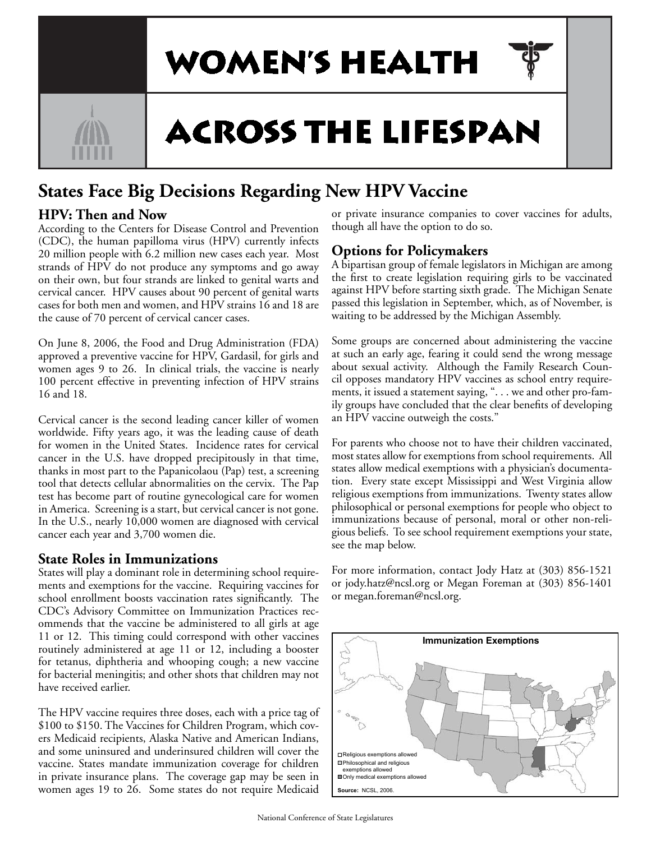# **WOMEN'S HEALTH**





# **ACROSS THE LIFESPAN**

# **States Face Big Decisions Regarding New HPV Vaccine**

### **HPV: Then and Now**

According to the Centers for Disease Control and Prevention (CDC), the human papilloma virus (HPV) currently infects 20 million people with 6.2 million new cases each year. Most strands of HPV do not produce any symptoms and go away on their own, but four strands are linked to genital warts and cervical cancer. HPV causes about 90 percent of genital warts cases for both men and women, and HPV strains 16 and 18 are the cause of 70 percent of cervical cancer cases.

On June 8, 2006, the Food and Drug Administration (FDA) approved a preventive vaccine for HPV, Gardasil, for girls and women ages 9 to 26. In clinical trials, the vaccine is nearly 100 percent effective in preventing infection of HPV strains 16 and 18.

Cervical cancer is the second leading cancer killer of women worldwide. Fifty years ago, it was the leading cause of death for women in the United States. Incidence rates for cervical cancer in the U.S. have dropped precipitously in that time, thanks in most part to the Papanicolaou (Pap) test, a screening tool that detects cellular abnormalities on the cervix. The Pap test has become part of routine gynecological care for women in America. Screening is a start, but cervical cancer is not gone. In the U.S., nearly 10,000 women are diagnosed with cervical cancer each year and 3,700 women die.

### **State Roles in Immunizations**

States will play a dominant role in determining school requirements and exemptions for the vaccine. Requiring vaccines for school enrollment boosts vaccination rates significantly. The CDC's Advisory Committee on Immunization Practices recommends that the vaccine be administered to all girls at age 11 or 12. This timing could correspond with other vaccines routinely administered at age 11 or 12, including a booster for tetanus, diphtheria and whooping cough; a new vaccine for bacterial meningitis; and other shots that children may not have received earlier.

The HPV vaccine requires three doses, each with a price tag of \$100 to \$150. The Vaccines for Children Program, which covers Medicaid recipients, Alaska Native and American Indians, and some uninsured and underinsured children will cover the vaccine. States mandate immunization coverage for children in private insurance plans. The coverage gap may be seen in women ages 19 to 26. Some states do not require Medicaid

or private insurance companies to cover vaccines for adults, though all have the option to do so.

### **Options for Policymakers**

A bipartisan group of female legislators in Michigan are among the first to create legislation requiring girls to be vaccinated against HPV before starting sixth grade. The Michigan Senate passed this legislation in September, which, as of November, is waiting to be addressed by the Michigan Assembly.

Some groups are concerned about administering the vaccine at such an early age, fearing it could send the wrong message about sexual activity. Although the Family Research Council opposes mandatory HPV vaccines as school entry requirements, it issued a statement saying, ". . . we and other pro-family groups have concluded that the clear benefits of developing an HPV vaccine outweigh the costs."

For parents who choose not to have their children vaccinated, most states allow for exemptions from school requirements. All states allow medical exemptions with a physician's documentation. Every state except Mississippi and West Virginia allow religious exemptions from immunizations. Twenty states allow philosophical or personal exemptions for people who object to immunizations because of personal, moral or other non-religious beliefs. To see school requirement exemptions your state, see the map below.

For more information, contact Jody Hatz at (303) 856-1521 or jody.hatz@ncsl.org or Megan Foreman at (303) 856-1401 or megan.foreman@ncsl.org.

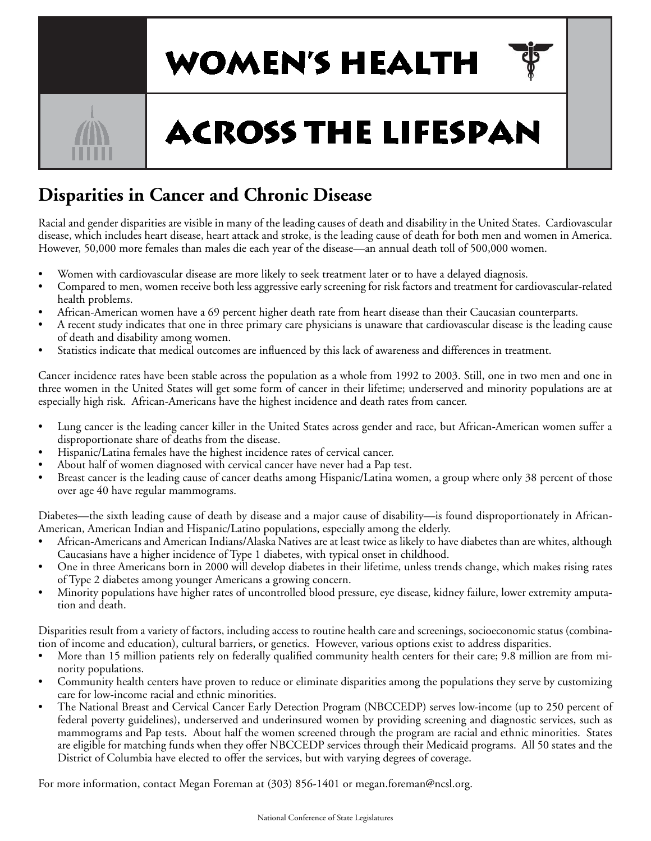# **WOMEN'S HEALTH**



# **ACROSS THE LIFESPAN**

# **Disparities in Cancer and Chronic Disease**

Racial and gender disparities are visible in many of the leading causes of death and disability in the United States. Cardiovascular disease, which includes heart disease, heart attack and stroke, is the leading cause of death for both men and women in America. However, 50,000 more females than males die each year of the disease—an annual death toll of 500,000 women.

- Women with cardiovascular disease are more likely to seek treatment later or to have a delayed diagnosis.
- Compared to men, women receive both less aggressive early screening for risk factors and treatment for cardiovascular-related health problems.
- African-American women have a 69 percent higher death rate from heart disease than their Caucasian counterparts.
- A recent study indicates that one in three primary care physicians is unaware that cardiovascular disease is the leading cause of death and disability among women.
- Statistics indicate that medical outcomes are influenced by this lack of awareness and differences in treatment.

Cancer incidence rates have been stable across the population as a whole from 1992 to 2003. Still, one in two men and one in three women in the United States will get some form of cancer in their lifetime; underserved and minority populations are at especially high risk. African-Americans have the highest incidence and death rates from cancer.

- Lung cancer is the leading cancer killer in the United States across gender and race, but African-American women suffer a disproportionate share of deaths from the disease.
- Hispanic/Latina females have the highest incidence rates of cervical cancer.
- About half of women diagnosed with cervical cancer have never had a Pap test.
- Breast cancer is the leading cause of cancer deaths among Hispanic/Latina women, a group where only 38 percent of those over age 40 have regular mammograms.

Diabetes—the sixth leading cause of death by disease and a major cause of disability—is found disproportionately in African-American, American Indian and Hispanic/Latino populations, especially among the elderly.

- African-Americans and American Indians/Alaska Natives are at least twice as likely to have diabetes than are whites, although Caucasians have a higher incidence of Type 1 diabetes, with typical onset in childhood.
- One in three Americans born in 2000 will develop diabetes in their lifetime, unless trends change, which makes rising rates of Type 2 diabetes among younger Americans a growing concern.
- Minority populations have higher rates of uncontrolled blood pressure, eye disease, kidney failure, lower extremity amputation and death.

Disparities result from a variety of factors, including access to routine health care and screenings, socioeconomic status (combination of income and education), cultural barriers, or genetics. However, various options exist to address disparities.

- More than 15 million patients rely on federally qualified community health centers for their care; 9.8 million are from minority populations.
- Community health centers have proven to reduce or eliminate disparities among the populations they serve by customizing care for low-income racial and ethnic minorities.
- The National Breast and Cervical Cancer Early Detection Program (NBCCEDP) serves low-income (up to 250 percent of federal poverty guidelines), underserved and underinsured women by providing screening and diagnostic services, such as mammograms and Pap tests. About half the women screened through the program are racial and ethnic minorities. States are eligible for matching funds when they offer NBCCEDP services through their Medicaid programs. All 50 states and the District of Columbia have elected to offer the services, but with varying degrees of coverage.

For more information, contact Megan Foreman at (303) 856-1401 or megan.foreman@ncsl.org.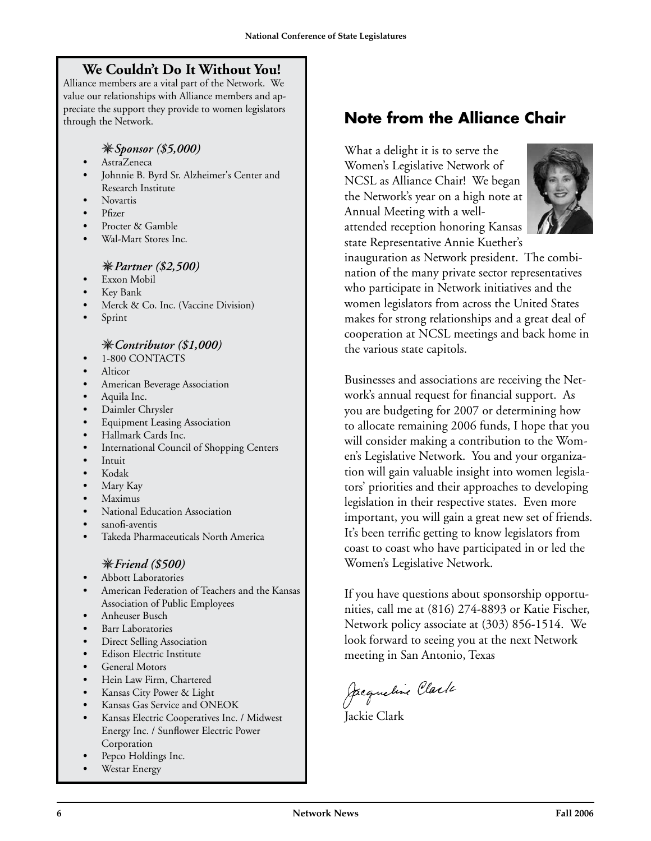### **We Couldn't Do It Without You!**

Alliance members are a vital part of the Network. We value our relationships with Alliance members and appreciate the support they provide to women legislators through the Network.

### *Sponsor (\$5,000)*

- *•* AstraZeneca
- *•* Johnnie B. Byrd Sr. Alzheimer's Center and Research Institute
- *•* Novartis
- *•* Pfizer
- *•* Procter & Gamble
- *•* Wal-Mart Stores Inc.

### *Partner (\$2,500)*

- *•* Exxon Mobil
- *•* Key Bank
- *•* Merck & Co. Inc. (Vaccine Division)
- *•* Sprint

### *Contributor (\$1,000)*

- *•* 1-800 CONTACTS
- *•* Alticor
- *•* American Beverage Association
- *•* Aquila Inc.
- *•* Daimler Chrysler
- *<u>Equipment Leasing Association</u>*
- *•* Hallmark Cards Inc.
- International Council of Shopping Centers
- *•* Intuit
- *•* Kodak
- Mary Kay
- *•* Maximus
- *•* National Education Association
- *•* sanofi-aventis
- *•* Takeda Pharmaceuticals North America

### *Friend (\$500)*

- *•* Abbott Laboratories
- *•* American Federation of Teachers and the Kansas Association of Public Employees
- Anheuser Busch
- *•* Barr Laboratories
- **Direct Selling Association**
- *•* Edison Electric Institute
- *•* General Motors
- *•* Hein Law Firm, Chartered
- *•* Kansas City Power & Light
- *•* Kansas Gas Service and ONEOK
- *•* Kansas Electric Cooperatives Inc. / Midwest Energy Inc. / Sunflower Electric Power Corporation
- *•* Pepco Holdings Inc.
- *•* Westar Energy

## **Note from the Alliance Chair**

What a delight it is to serve the Women's Legislative Network of NCSL as Alliance Chair! We began the Network's year on a high note at Annual Meeting with a wellattended reception honoring Kansas state Representative Annie Kuether's



inauguration as Network president. The combination of the many private sector representatives who participate in Network initiatives and the women legislators from across the United States makes for strong relationships and a great deal of cooperation at NCSL meetings and back home in the various state capitols.

Businesses and associations are receiving the Network's annual request for financial support. As you are budgeting for 2007 or determining how to allocate remaining 2006 funds, I hope that you will consider making a contribution to the Women's Legislative Network. You and your organization will gain valuable insight into women legislators' priorities and their approaches to developing legislation in their respective states. Even more important, you will gain a great new set of friends. It's been terrific getting to know legislators from coast to coast who have participated in or led the Women's Legislative Network.

If you have questions about sponsorship opportunities, call me at (816) 274-8893 or Katie Fischer, Network policy associate at (303) 856-1514. We look forward to seeing you at the next Network meeting in San Antonio, Texas

Jacqueline Clark Jackie Clark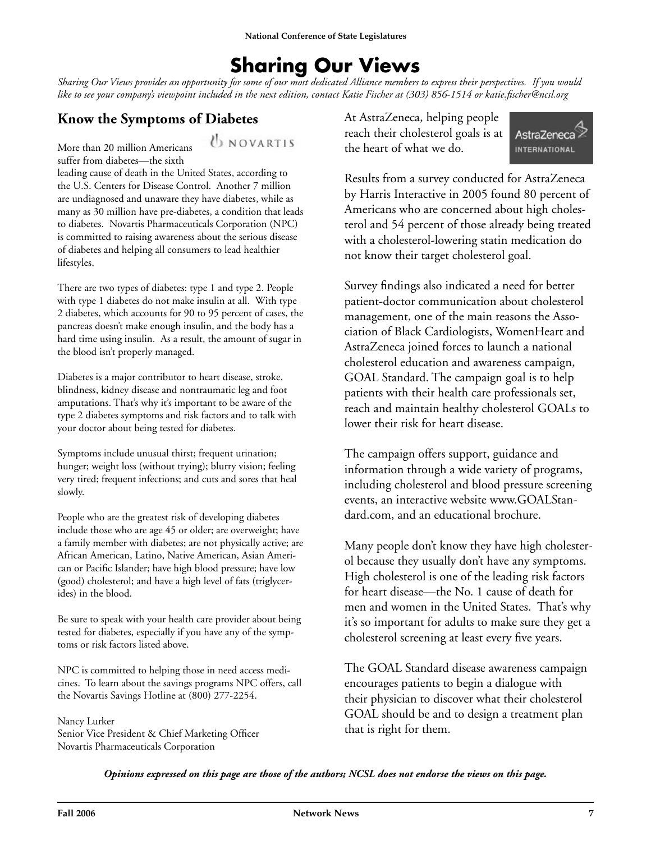# **Sharing Our Views**

*Sharing Our Views provides an opportunity for some of our most dedicated Alliance members to express their perspectives. If you would like to see your company's viewpoint included in the next edition, contact Katie Fischer at (303) 856-1514 or katie.fischer@ncsl.org* 

### **Know the Symptoms of Diabetes** At AstraZeneca, helping people

More than 20 million Americans suffer from diabetes—the sixth

**UNOVARTIS** 

leading cause of death in the United States, according to the U.S. Centers for Disease Control. Another 7 million are undiagnosed and unaware they have diabetes, while as many as 30 million have pre-diabetes, a condition that leads to diabetes. Novartis Pharmaceuticals Corporation (NPC) is committed to raising awareness about the serious disease of diabetes and helping all consumers to lead healthier lifestyles.

There are two types of diabetes: type 1 and type 2. People with type 1 diabetes do not make insulin at all. With type 2 diabetes, which accounts for 90 to 95 percent of cases, the pancreas doesn't make enough insulin, and the body has a hard time using insulin. As a result, the amount of sugar in the blood isn't properly managed.

Diabetes is a major contributor to heart disease, stroke, blindness, kidney disease and nontraumatic leg and foot amputations. That's why it's important to be aware of the type 2 diabetes symptoms and risk factors and to talk with your doctor about being tested for diabetes.

Symptoms include unusual thirst; frequent urination; hunger; weight loss (without trying); blurry vision; feeling very tired; frequent infections; and cuts and sores that heal slowly.

People who are the greatest risk of developing diabetes include those who are age 45 or older; are overweight; have a family member with diabetes; are not physically active; are African American, Latino, Native American, Asian American or Pacific Islander; have high blood pressure; have low (good) cholesterol; and have a high level of fats (triglycerides) in the blood.

Be sure to speak with your health care provider about being tested for diabetes, especially if you have any of the symptoms or risk factors listed above.

NPC is committed to helping those in need access medicines. To learn about the savings programs NPC offers, call the Novartis Savings Hotline at (800) 277-2254.

Nancy Lurker Senior Vice President & Chief Marketing Officer Novartis Pharmaceuticals Corporation

reach their cholesterol goals is at the heart of what we do.

AstraZeneca **INTERNATIONAL** 

Results from a survey conducted for AstraZeneca by Harris Interactive in 2005 found 80 percent of Americans who are concerned about high cholesterol and 54 percent of those already being treated with a cholesterol-lowering statin medication do not know their target cholesterol goal.

Survey findings also indicated a need for better patient-doctor communication about cholesterol management, one of the main reasons the Association of Black Cardiologists, WomenHeart and AstraZeneca joined forces to launch a national cholesterol education and awareness campaign, GOAL Standard. The campaign goal is to help patients with their health care professionals set, reach and maintain healthy cholesterol GOALs to lower their risk for heart disease.

The campaign offers support, guidance and information through a wide variety of programs, including cholesterol and blood pressure screening events, an interactive website www.GOALStandard.com, and an educational brochure.

Many people don't know they have high cholesterol because they usually don't have any symptoms. High cholesterol is one of the leading risk factors for heart disease—the No. 1 cause of death for men and women in the United States. That's why it's so important for adults to make sure they get a cholesterol screening at least every five years.

The GOAL Standard disease awareness campaign encourages patients to begin a dialogue with their physician to discover what their cholesterol GOAL should be and to design a treatment plan that is right for them.

*Opinions expressed on this page are those of the authors; NCSL does not endorse the views on this page.*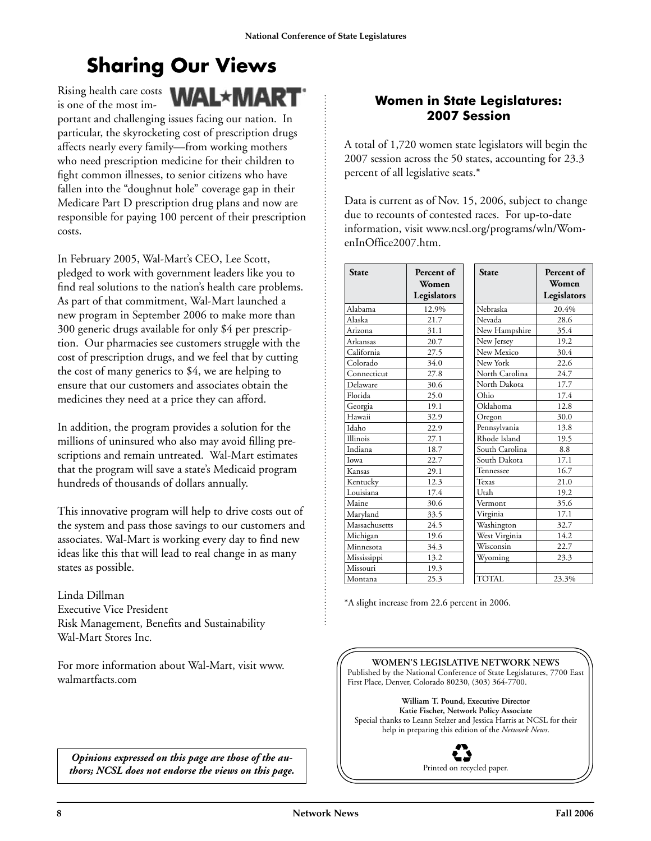# **Sharing Our Views**

Rising health care costs **WAL\*MART** is one of the most im-

portant and challenging issues facing our nation. In particular, the skyrocketing cost of prescription drugs affects nearly every family—from working mothers who need prescription medicine for their children to fight common illnesses, to senior citizens who have fallen into the "doughnut hole" coverage gap in their Medicare Part D prescription drug plans and now are responsible for paying 100 percent of their prescription costs.

In February 2005, Wal-Mart's CEO, Lee Scott, pledged to work with government leaders like you to find real solutions to the nation's health care problems. As part of that commitment, Wal-Mart launched a new program in September 2006 to make more than 300 generic drugs available for only \$4 per prescription. Our pharmacies see customers struggle with the cost of prescription drugs, and we feel that by cutting the cost of many generics to \$4, we are helping to ensure that our customers and associates obtain the medicines they need at a price they can afford.

In addition, the program provides a solution for the millions of uninsured who also may avoid filling prescriptions and remain untreated. Wal-Mart estimates that the program will save a state's Medicaid program hundreds of thousands of dollars annually.

This innovative program will help to drive costs out of the system and pass those savings to our customers and associates. Wal-Mart is working every day to find new ideas like this that will lead to real change in as many states as possible.

Linda Dillman Executive Vice President Risk Management, Benefits and Sustainability Wal-Mart Stores Inc.

For more information about Wal-Mart, visit www. walmartfacts.com

*Opinions expressed on this page are those of the authors; NCSL does not endorse the views on this page.*

### **Women in State Legislatures: 2007 Session**

A total of 1,720 women state legislators will begin the 2007 session across the 50 states, accounting for 23.3 percent of all legislative seats.\*

Data is current as of Nov. 15, 2006, subject to change due to recounts of contested races. For up-to-date information, visit www.ncsl.org/programs/wln/WomenInOffice2007.htm.

| <b>State</b>  | Percent of<br>Women<br>Legislators | <b>State</b>   | Percent of<br>Women<br>Legislators |
|---------------|------------------------------------|----------------|------------------------------------|
| Alabama       | 12.9%                              | Nebraska       | 20.4%                              |
| Alaska        | 21.7                               | Nevada         | 28.6                               |
| Arizona       | 31.1                               | New Hampshire  | 35.4                               |
| Arkansas      | 20.7                               | New Jersey     | 19.2                               |
| California    | 27.5                               | New Mexico     | 30.4                               |
| Colorado      | 34.0                               | New York       | 22.6                               |
| Connecticut   | 27.8                               | North Carolina | 24.7                               |
| Delaware      | 30.6                               | North Dakota   | 17.7                               |
| Florida       | 25.0                               | Ohio           | 17.4                               |
| Georgia       | 19.1                               | Oklahoma       | 12.8                               |
| Hawaii        | 32.9                               | Oregon         | 30.0                               |
| Idaho         | 22.9                               | Pennsylvania   | 13.8                               |
| Illinois      | 27.1                               | Rhode Island   | 19.5                               |
| Indiana       | 18.7                               | South Carolina | 8.8                                |
| Iowa          | 22.7                               | South Dakota   | 17.1                               |
| Kansas        | 29.1                               | Tennessee      | 16.7                               |
| Kentucky      | 12.3                               | Texas          | 21.0                               |
| Louisiana     | 17.4                               | Utah           | 19.2                               |
| Maine         | 30.6                               | Vermont        | 35.6                               |
| Maryland      | 33.5                               | Virginia       | 17.1                               |
| Massachusetts | 24.5                               | Washington     | 32.7                               |
| Michigan      | 19.6                               | West Virginia  | 14.2                               |
| Minnesota     | 34.3                               | Wisconsin      | 22.7                               |
| Mississippi   | 13.2                               | Wyoming        | 23.3                               |
| Missouri      | 19.3                               |                |                                    |
| Montana       | 25.3                               | TOTAL          | 23.3%                              |

\*A slight increase from 22.6 percent in 2006.

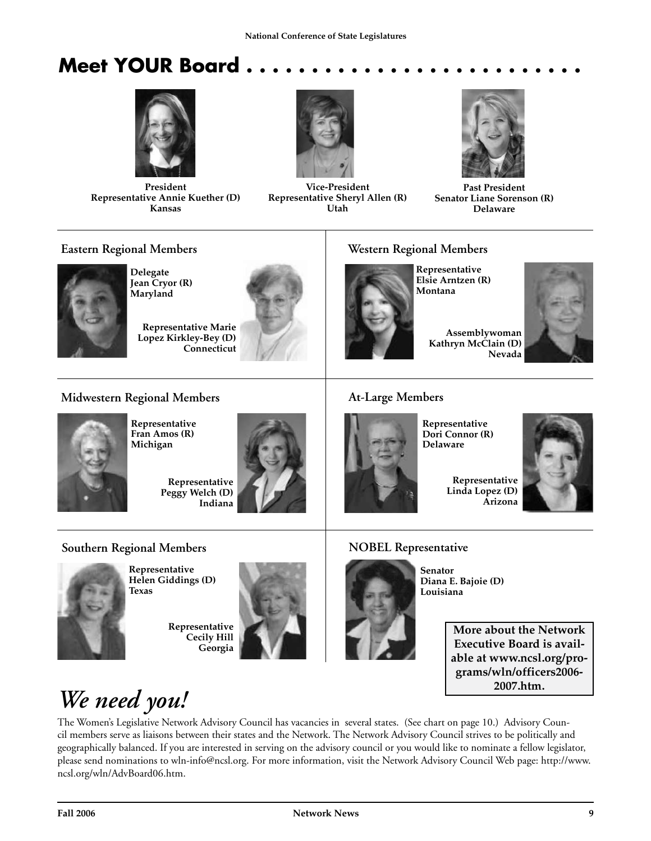# **Meet YOUR Board.**



President Representative Annie Kuether (D) Kansas



Vice-President Representative Sheryl Allen (R) Utah



Past President Senator Liane Sorenson (R) Delaware

### **Eastern Regional Members**



Delegate Jean Cryor (R) Maryland

Representative Marie Lopez Kirkley-Bey (D) **Connecticut** 



### **Western Regional Members**

Representative Elsie Arntzen (R) Montana



### **Midwestern Regional Members**



Representative Fran Amos (R) Michigan

Representative Peggy Welch (D) Indiana



### **At-Large Members**

Representative Dori Connor (R) Delaware

Representative Linda Lopez (D) Arizona



### **Southern Regional Members**



Representative Helen Giddings (D) Texas

Representative Cecily Hill Georgia



### **NOBEL Representative**



Senator Diana E. Bajoie (D) Louisiana

More about the Network Executive Board is available at www.ncsl.org/programs/wln/officers2006- 2007.htm.

# *We need you!*

The Women's Legislative Network Advisory Council has vacancies in several states. (See chart on page 10.) Advisory Council members serve as liaisons between their states and the Network. The Network Advisory Council strives to be politically and geographically balanced. If you are interested in serving on the advisory council or you would like to nominate a fellow legislator, please send nominations to wln-info@ncsl.org. For more information, visit the Network Advisory Council Web page: http://www. ncsl.org/wln/AdvBoard06.htm.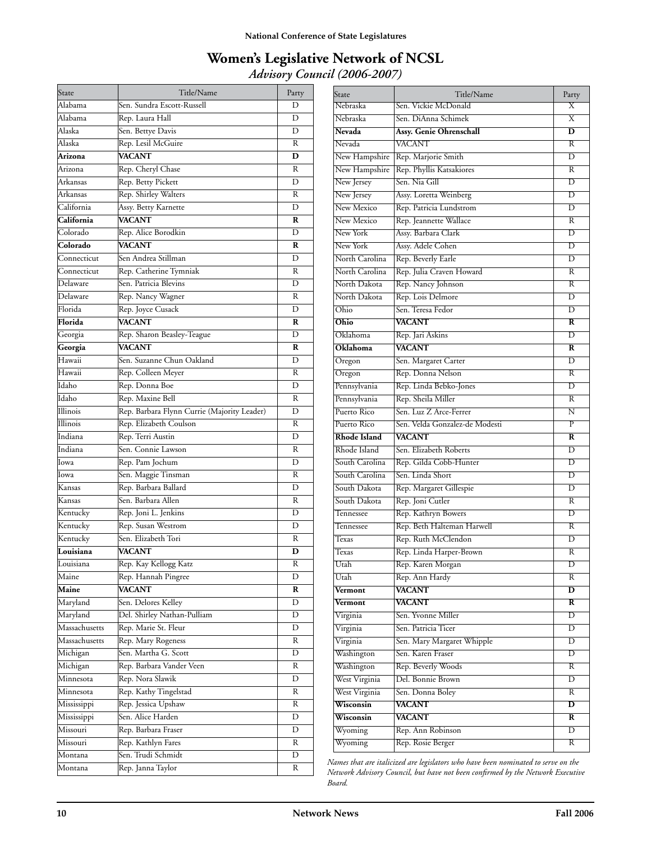### **Women's Legislative Network of NCSL** *Advisory Council (2006-2007)*

| State           | Title/Name                                  | Party          |
|-----------------|---------------------------------------------|----------------|
| Alabama         | Sen. Sundra Escott-Russell                  | D              |
| Alabama         | Rep. Laura Hall                             | D              |
| Alaska          | Sen. Bettye Davis                           | D              |
| Alaska          | Rep. Lesil McGuire                          | R              |
| Arizona         | <b>VACANT</b>                               | D              |
| Arizona         | Rep. Cheryl Chase                           | R              |
| Arkansas        | Rep. Betty Pickett                          | D              |
| <b>Arkansas</b> | Rep. Shirley Walters                        | R              |
| California      | Assy. Betty Karnette                        | D              |
| California      | <b>VACANT</b>                               | R              |
| Colorado        | Rep. Alice Borodkin                         | D              |
| Colorado        | <b>VACANT</b>                               | R              |
| Connecticut     | Sen Andrea Stillman                         | D              |
| Connecticut     | Rep. Catherine Tymniak                      | R              |
| Delaware        | Sen. Patricia Blevins                       | D              |
| Delaware        | Rep. Nancy Wagner                           | R              |
| Florida         | Rep. Joyce Cusack                           | D              |
| Florida         | <b>VACANT</b>                               | R              |
| Georgia         | Rep. Sharon Beasley-Teague                  | D              |
| Georgia         | <b>VACANT</b>                               | R              |
| Hawaii          | Sen. Suzanne Chun Oakland                   | D              |
| Hawaii          | Rep. Colleen Meyer                          | R              |
| Idaho           | Rep. Donna Boe                              | D              |
| Idaho           | Rep. Maxine Bell                            | R              |
| Illinois        | Rep. Barbara Flynn Currie (Majority Leader) | D              |
| Illinois        | Rep. Elizabeth Coulson                      | R              |
| Indiana         | Rep. Terri Austin                           | D              |
| Indiana         | Sen. Connie Lawson                          | R              |
| Iowa            | Rep. Pam Jochum                             | D              |
| Iowa            | Sen. Maggie Tinsman                         | R              |
| Kansas          | Rep. Barbara Ballard                        | D              |
| Kansas          | Sen. Barbara Allen                          | R              |
| Kentucky        | Rep. Joni L. Jenkins                        | D              |
| Kentucky        | Rep. Susan Westrom                          | D              |
| Kentucky        | Sen. Elizabeth Tori                         | R              |
| Louisiana       | <b>VACANT</b>                               | D              |
| Louisiana       | Rep. Kay Kellogg Katz                       | $\overline{R}$ |
| Maine           | Rep. Hannah Pingree                         | D              |
| Maine           | <b>VACANT</b>                               | R              |
| Maryland        | Sen. Delores Kelley                         | D              |
| Maryland        | Del. Shirley Nathan-Pulliam                 | D              |
| Massachusetts   | Rep. Marie St. Fleur                        | D              |
| Massachusetts   | Rep. Mary Rogeness                          | R              |
| Michigan        | Sen. Martha G. Scott                        | D              |
| Michigan        | Rep. Barbara Vander Veen                    | R              |
| Minnesota       | Rep. Nora Slawik                            | D              |
| Minnesota       | Rep. Kathy Tingelstad                       | R              |
| Mississippi     | Rep. Jessica Upshaw                         | R              |
| Mississippi     | Sen. Alice Harden                           | D              |
| Missouri        | Rep. Barbara Fraser                         | D              |
| Missouri        | Rep. Kathlyn Fares                          | R              |
| Montana         | Sen. Trudi Schmidt                          | D              |
| Montana         | Rep. Janna Taylor                           | R              |

| State               | Title/Name                     | Party                   |
|---------------------|--------------------------------|-------------------------|
| Nebraska            | Sen. Vickie McDonald           | X                       |
| Nebraska            | Sen. DiAnna Schimek            | $\overline{\text{X}}$   |
| <b>Nevada</b>       | <b>Assy. Genie Ohrenschall</b> | $\overline{\text{D}}$   |
| Nevada              | <b>VACANT</b>                  | $\overline{\mathsf{R}}$ |
| New Hampshire       | Rep. Marjorie Smith            | D                       |
| New Hampshire       | Rep. Phyllis Katsakiores       | $\overline{\text{R}}$   |
| New Jersey          | Sen. Nia Gill                  | $\overline{\rm D}$      |
| New Jersey          | Assy. Loretta Weinberg         | $\overline{\rm D}$      |
| New Mexico          | Rep. Patricia Lundstrom        | $\overline{\rm D}$      |
| New Mexico          | Rep. Jeannette Wallace         | $\overline{\mathbb{R}}$ |
| New York            | Assy. Barbara Clark            | $\overline{\rm D}$      |
| New York            | Assy. Adele Cohen              | $\overline{\rm D}$      |
| North Carolina      | Rep. Beverly Earle             | $\overline{\rm D}$      |
| North Carolina      | Rep. Julia Craven Howard       | $\overline{\text{R}}$   |
| North Dakota        | Rep. Nancy Johnson             | R                       |
| North Dakota        | Rep. Lois Delmore              | D                       |
| Ohio                | Sen. Teresa Fedor              | $\overline{\rm D}$      |
| Ohio                | <b>VACANT</b>                  | $\overline{\text{R}}$   |
| Oklahoma            | Rep. Jari Askins               | D                       |
| Oklahoma            | <b>VACANT</b>                  | $\overline{\mathbf{R}}$ |
| Oregon              | Sen. Margaret Carter           | D                       |
| Oregon              | Rep. Donna Nelson              | $\overline{\text{R}}$   |
| Pennsylvania        | Rep. Linda Bebko-Jones         | D                       |
| Pennsylvania        | Rep. Sheila Miller             | $\overline{\mathbb{R}}$ |
| Puerto Rico         | Sen. Luz Z Arce-Ferrer         | $\overline{\rm N}$      |
| Puerto Rico         | Sen. Velda Gonzalez-de Modesti | $\overline{\mathbb{P}}$ |
| <b>Rhode Island</b> | <b>VACANT</b>                  | $\overline{\mathbf{R}}$ |
| Rhode Island        | Sen. Elizabeth Roberts         | $\overline{\rm D}$      |
| South Carolina      | Rep. Gilda Cobb-Hunter         | $\overline{\rm D}$      |
| South Carolina      | Sen. Linda Short               | $\overline{\rm D}$      |
| South Dakota        | Rep. Margaret Gillespie        | $\overline{\rm D}$      |
| South Dakota        | Rep. Joni Cutler               | $\overline{\mathbb{R}}$ |
| Tennessee           | Rep. Kathryn Bowers            | D                       |
| Tennessee           | Rep. Beth Halteman Harwell     | $\overline{\mathbb{R}}$ |
| Texas               | Rep. Ruth McClendon            | $\overline{\rm D}$      |
| Texas               | Rep. Linda Harper-Brown        | $\overline{\mathbb{R}}$ |
| Utah                | Rep. Karen Morgan              | D                       |
| Utah                | Rep. Ann Hardy                 | R                       |
| Vermont             | <b>VACANT</b>                  | $\overline{\textbf{D}}$ |
| Vermont             | <b>VACANT</b>                  | $\overline{\mathbf{R}}$ |
| Virginia            | Sen. Yvonne Miller             | $\overline{\mathrm{D}}$ |
| Virginia            | Sen. Patricia Ticer            | $\overline{\mathrm{D}}$ |
| Virginia            | Sen. Mary Margaret Whipple     | $\overline{\mathrm{D}}$ |
| Washington          | Sen. Karen Fraser              | $\overline{\mathrm{D}}$ |
| Washington          | Rep. Beverly Woods             | $\overline{\mathbb{R}}$ |
| West Virginia       | Del. Bonnie Brown              | $\overline{\mathrm{D}}$ |
| West Virginia       | Sen. Donna Boley               | $\overline{\text{R}}$   |
| Wisconsin           | <b>VACANT</b>                  | $\overline{\textbf{D}}$ |
| Wisconsin           | <b>VACANT</b>                  | $\overline{\mathbf{R}}$ |
| Wyoming             | Rep. Ann Robinson              | $\overline{\mathrm{D}}$ |
| Wyoming             | Rep. Rosie Berger              | R                       |

*Names that are italicized are legislators who have been nominated to serve on the Network Advisory Council, but have not been confirmed by the Network Executive Board.*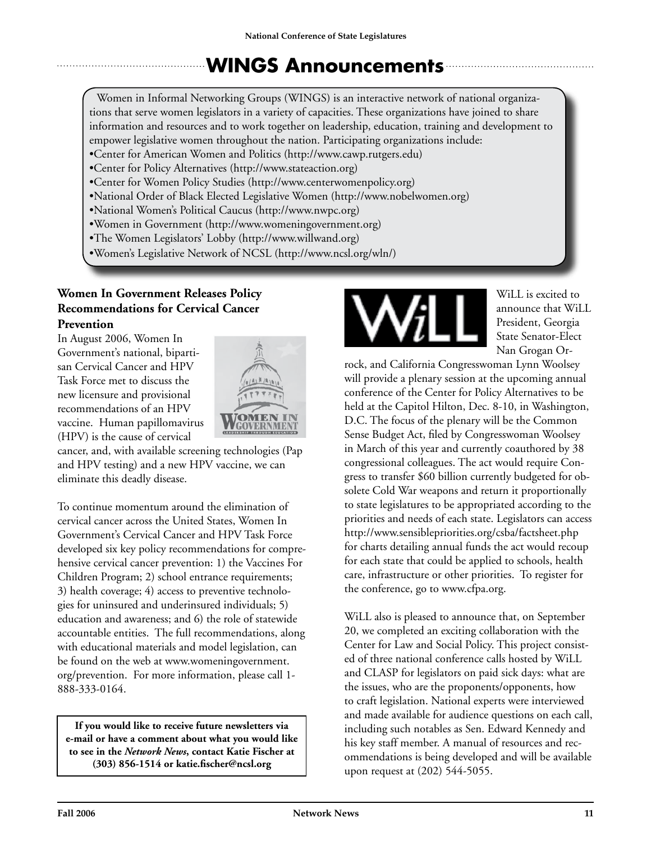# **WINGS Announcements**

Women in Informal Networking Groups (WINGS) is an interactive network of national organizations that serve women legislators in a variety of capacities. These organizations have joined to share information and resources and to work together on leadership, education, training and development to empower legislative women throughout the nation. Participating organizations include:

•Center for American Women and Politics (http://www.cawp.rutgers.edu)

- •Center for Policy Alternatives (http://www.stateaction.org)
- •Center for Women Policy Studies (http://www.centerwomenpolicy.org)
- •National Order of Black Elected Legislative Women (http://www.nobelwomen.org)
- •National Women's Political Caucus (http://www.nwpc.org)
- •Women in Government (http://www.womeningovernment.org)
- •The Women Legislators' Lobby (http://www.willwand.org)
- •Women's Legislative Network of NCSL (http://www.ncsl.org/wln/)

### **Women In Government Releases Policy Recommendations for Cervical Cancer Prevention**

In August 2006, Women In Government's national, bipartisan Cervical Cancer and HPV Task Force met to discuss the new licensure and provisional recommendations of an HPV vaccine. Human papillomavirus (HPV) is the cause of cervical



cancer, and, with available screening technologies (Pap and HPV testing) and a new HPV vaccine, we can eliminate this deadly disease.

To continue momentum around the elimination of cervical cancer across the United States, Women In Government's Cervical Cancer and HPV Task Force developed six key policy recommendations for comprehensive cervical cancer prevention: 1) the Vaccines For Children Program; 2) school entrance requirements; 3) health coverage; 4) access to preventive technologies for uninsured and underinsured individuals; 5) education and awareness; and 6) the role of statewide accountable entities. The full recommendations, along with educational materials and model legislation, can be found on the web at www.womeningovernment. org/prevention. For more information, please call 1- 888-333-0164.

**If you would like to receive future newsletters via e-mail or have a comment about what you would like to see in the** *Network News***, contact Katie Fischer at (303) 856-1514 or katie.fischer@ncsl.org**



WiLL is excited to announce that WiLL President, Georgia State Senator-Elect Nan Grogan Or-

rock, and California Congresswoman Lynn Woolsey will provide a plenary session at the upcoming annual conference of the Center for Policy Alternatives to be held at the Capitol Hilton, Dec. 8-10, in Washington, D.C. The focus of the plenary will be the Common Sense Budget Act, filed by Congresswoman Woolsey in March of this year and currently coauthored by 38 congressional colleagues. The act would require Congress to transfer \$60 billion currently budgeted for obsolete Cold War weapons and return it proportionally to state legislatures to be appropriated according to the priorities and needs of each state. Legislators can access http://www.sensiblepriorities.org/csba/factsheet.php for charts detailing annual funds the act would recoup for each state that could be applied to schools, health care, infrastructure or other priorities. To register for the conference, go to www.cfpa.org.

WiLL also is pleased to announce that, on September 20, we completed an exciting collaboration with the Center for Law and Social Policy. This project consisted of three national conference calls hosted by WiLL and CLASP for legislators on paid sick days: what are the issues, who are the proponents/opponents, how to craft legislation. National experts were interviewed and made available for audience questions on each call, including such notables as Sen. Edward Kennedy and his key staff member. A manual of resources and recommendations is being developed and will be available upon request at (202) 544-5055.